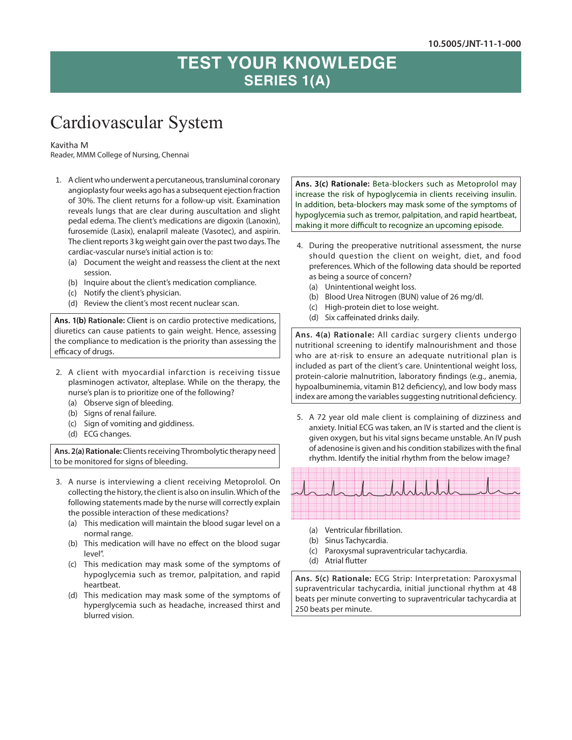## **TEST YOUR KNOWLEDGE SERIES 1(A)**

## Cardiovascular System

## Kavitha M

Reader, MMM College of Nursing, Chennai

- 1. A client who underwent a percutaneous, transluminal coronary angioplasty four weeks ago has a subsequent ejection fraction of 30%. The client returns for a follow-up visit. Examination reveals lungs that are clear during auscultation and slight pedal edema. The client's medications are digoxin (Lanoxin), furosemide (Lasix), enalapril maleate (Vasotec), and aspirin. The client reports 3 kg weight gain over the past two days. The cardiac-vascular nurse's initial action is to:
	- (a) Document the weight and reassess the client at the next session.
	- (b) Inquire about the client's medication compliance.
	- (c) Notify the client's physician.
	- (d) Review the client's most recent nuclear scan.

**Ans. 1(b) Rationale:** Client is on cardio protective medications, diuretics can cause patients to gain weight. Hence, assessing the compliance to medication is the priority than assessing the efficacy of drugs.

- 2. A client with myocardial infarction is receiving tissue plasminogen activator, alteplase. While on the therapy, the nurse's plan is to prioritize one of the following?
	- (a) Observe sign of bleeding.
	- (b) Signs of renal failure.
	- (c) Sign of vomiting and giddiness.
	- (d) ECG changes.

**Ans. 2(a) Rationale:** Clients receiving Thrombolytic therapy need to be monitored for signs of bleeding.

- 3. A nurse is interviewing a client receiving Metoprolol. On collecting the history, the client is also on insulin. Which of the following statements made by the nurse will correctly explain the possible interaction of these medications?
	- (a) This medication will maintain the blood sugar level on a normal range.
	- (b) This medication will have no effect on the blood sugar level".
	- (c) This medication may mask some of the symptoms of hypoglycemia such as tremor, palpitation, and rapid heartbeat.
	- (d) This medication may mask some of the symptoms of hyperglycemia such as headache, increased thirst and blurred vision.

**Ans. 3(c) Rationale:** Beta-blockers such as Metoprolol may increase the risk of hypoglycemia in clients receiving insulin. In addition, beta-blockers may mask some of the symptoms of hypoglycemia such as tremor, palpitation, and rapid heartbeat, making it more difficult to recognize an upcoming episode.

- 4. During the preoperative nutritional assessment, the nurse should question the client on weight, diet, and food preferences. Which of the following data should be reported as being a source of concern?
	- (a) Unintentional weight loss.
	- (b) Blood Urea Nitrogen (BUN) value of 26 mg/dl.
	- (c) High-protein diet to lose weight.
	- (d) Six caffeinated drinks daily.

**Ans. 4(a) Rationale:** All cardiac surgery clients undergo nutritional screening to identify malnourishment and those who are at-risk to ensure an adequate nutritional plan is included as part of the client's care. Unintentional weight loss, protein-calorie malnutrition, laboratory findings (e.g., anemia, hypoalbuminemia, vitamin B12 deficiency), and low body mass index are among the variables suggesting nutritional deficiency.

5. A 72 year old male client is complaining of dizziness and anxiety. Initial ECG was taken, an IV is started and the client is given oxygen, but his vital signs became unstable. An IV push of adenosine is given and his condition stabilizes with the final rhythm. Identify the initial rhythm from the below image?



- (a) Ventricular fibrillation.
- (b) Sinus Tachycardia.
- (c) Paroxysmal supraventricular tachycardia.
- (d) Atrial flutter

**Ans. 5(c) Rationale:** ECG Strip: Interpretation: Paroxysmal supraventricular tachycardia, initial junctional rhythm at 48 beats per minute converting to supraventricular tachycardia at 250 beats per minute.